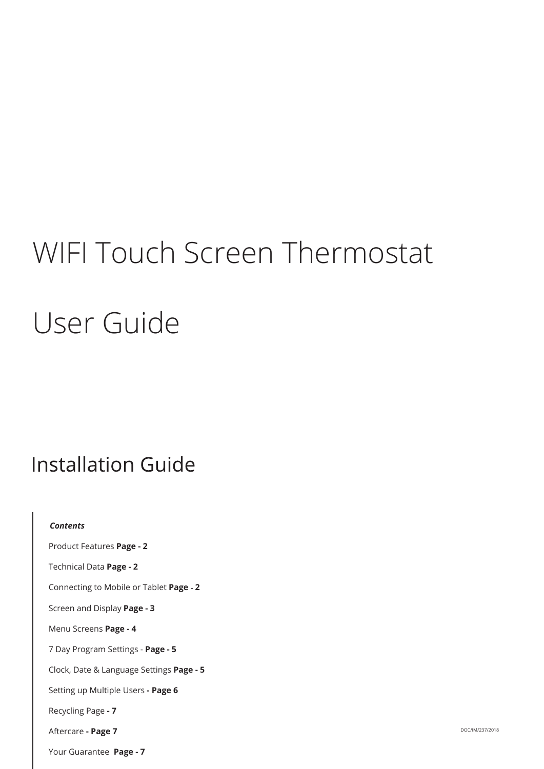# WIFI Touch Screen Thermostat User Guide

## **Installation Guide**

| <b>Contents</b>                          |
|------------------------------------------|
| Product Features Page - 2                |
| Technical Data Page - 2                  |
| Connecting to Mobile or Tablet Page - 2  |
| Screen and Display Page - 3              |
| Menu Screens Page - 4                    |
| 7 Day Program Settings - Page - 5        |
| Clock, Date & Language Settings Page - 5 |
| Setting up Multiple Users - Page 6       |
| Recycling Page - 7                       |
| Aftercare - Page 7                       |
| Your Guarantee Page - 7                  |

DOC/IM/237/2018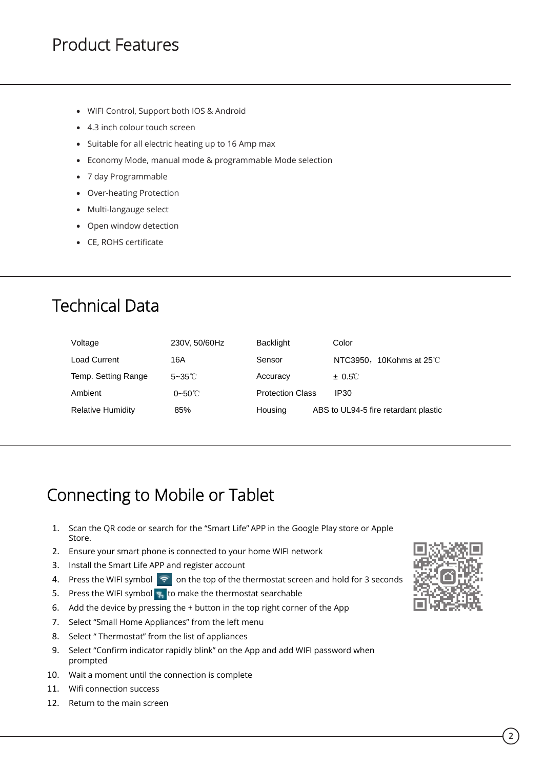#### Product Features

- WIFI Control, Support both IOS & Android
- 4.3 inch colour touch screen
- Suitable for all electric heating up to 16 Amp max
- Economy Mode, manual mode & programmable Mode selection
- 7 day Programmable
- Over-heating Protection
- Multi-langauge select
- Open window detection
- CE, ROHS certificate

### Technical Data

| Voltage             | 230V, 50/60Hz      | Backlight               | Color                                |
|---------------------|--------------------|-------------------------|--------------------------------------|
| <b>Load Current</b> | 16A                | Sensor                  | NTC3950, 10Kohms at $25^{\circ}$ C   |
| Temp. Setting Range | $5 - 35^{\circ}$ C | Accuracy                | $\pm$ 0.5°C                          |
| Ambient             | $0 - 50^{\circ}$ C | <b>Protection Class</b> | IP <sub>30</sub>                     |
| Relative Humidity   | 85%                | Housing                 | ABS to UL94-5 fire retardant plastic |

### Connecting to Mobile or Tablet

- 1. Scan the QR code or search for the "Smart Life" APP in the Google Play store or Apple Store.
- 2. Ensure your smart phone is connected to your home WIFI network
- 3. Install the Smart Life APP and register account
- 4. Press the WIFI symbol  $\leq$  on the top of the thermostat screen and hold for 3 seconds
- 5. Press the WIFI symbol 8 to make the thermostat searchable
- 6. Add the device by pressing the + button in the top right corner of the App
- 7. Select "Small Home Appliances" from the left menu
- 8. Select " Thermostat" from the list of appliances
- 9. Select "Confirm indicator rapidly blink" on the App and add WIFI password when prompted
- 10. Wait a moment until the connection is complete
- 11. Wifi connection success
- 12. Return to the main screen

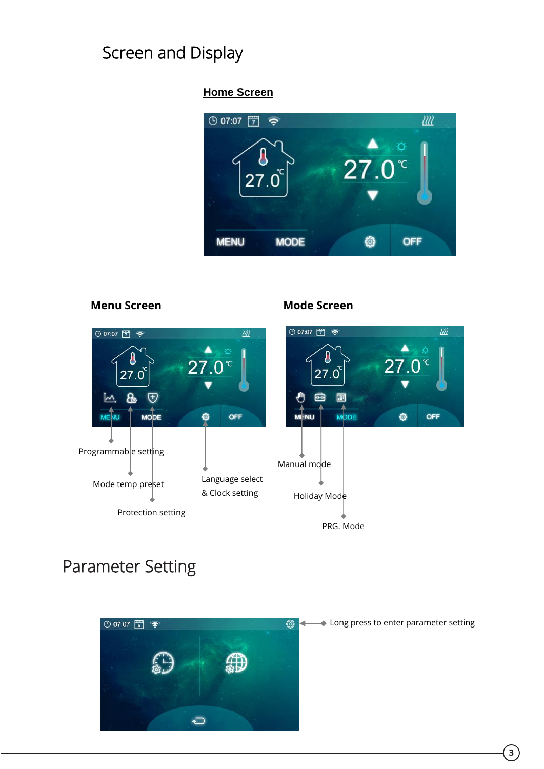### Screen and Display

#### **Home Screen**





### Parameter Setting



◆ Long press to enter parameter setting

**3**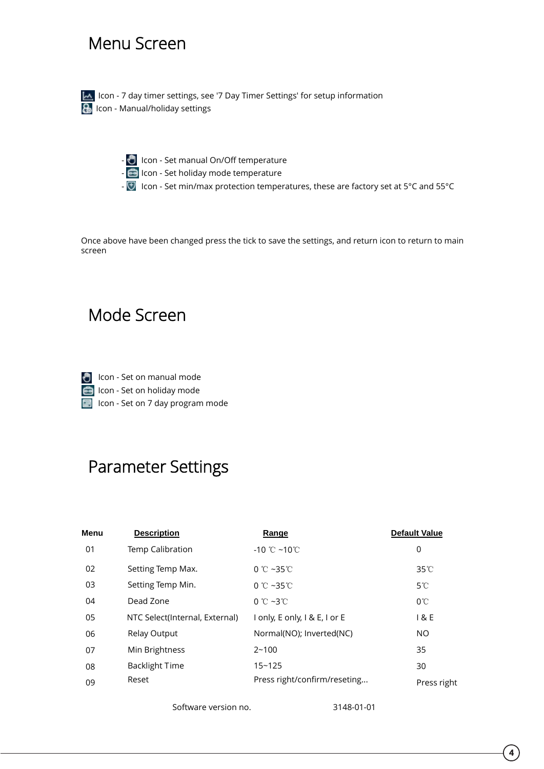#### Menu Screen

IM Icon - 7 day timer settings, see '7 Day Timer Settings' for setup information **I**con - Manual/holiday settings

-  $\bullet$  Icon - Set manual On/Off temperature

- Icon Set holiday mode temperature
- Icon Set min/max protection temperatures, these are factory set at 5°C and 55°C

Once above have been changed press the tick to save the settings, and return icon to return to main screen

#### Mode Screen

**I** Icon - Set on manual mode Icon - Set on holiday mode Icon - Set on 7 day program mode

#### Parameter Settings

| Menu | <b>Description</b>             | Range                                   | <b>Default Value</b> |
|------|--------------------------------|-----------------------------------------|----------------------|
| 01   | Temp Calibration               | $-10$ °C $-10$ °C                       | 0                    |
| 02   | Setting Temp Max.              | 0 °C ~35 °C                             | $35^{\circ}$ C       |
| 03   | Setting Temp Min.              | 0 °C ~35 °C                             | $5^{\circ}$ C        |
| 04   | Dead Zone                      | $0^{\circ}$ C ~3 $^{\circ}$ C           | $0^{\circ}$ C        |
| 05   | NTC Select(Internal, External) | $I$ only, E only, $I \& E$ , $I$ or $E$ | 1 & E                |
| 06   | Relay Output                   | Normal(NO); Inverted(NC)                | NO.                  |
| 07   | Min Brightness                 | $2 - 100$                               | 35                   |
| 08   | <b>Backlight Time</b>          | $15 - 125$                              | 30                   |
| 09   | Reset                          | Press right/confirm/reseting            | Press right          |
|      |                                |                                         |                      |

Software version no. 3148-01-01

**4**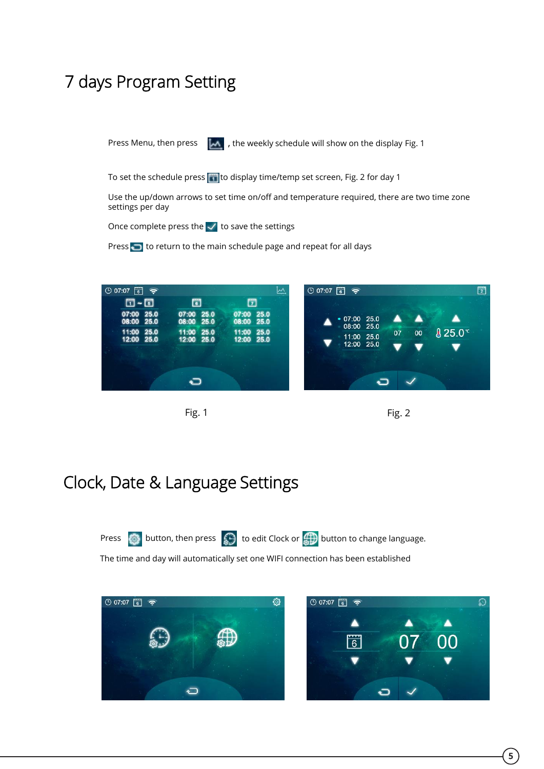#### 7 days Program Setting

Press Menu, then press  $\left\Vert \mathcal{M}\right\Vert$ , the weekly schedule will show on the display Fig. 1

To set the schedule press **to display time/temp set screen**, Fig. 2 for day 1

Use the up/down arrows to set time on/off and temperature required, there are two time zone settings per day

Once complete press the  $\vee$  to save the settings

Press  $\bigcirc$  to return to the main schedule page and repeat for all days





#### Clock, Date & Language Settings



The time and day will automatically set one WIFI connection has been established

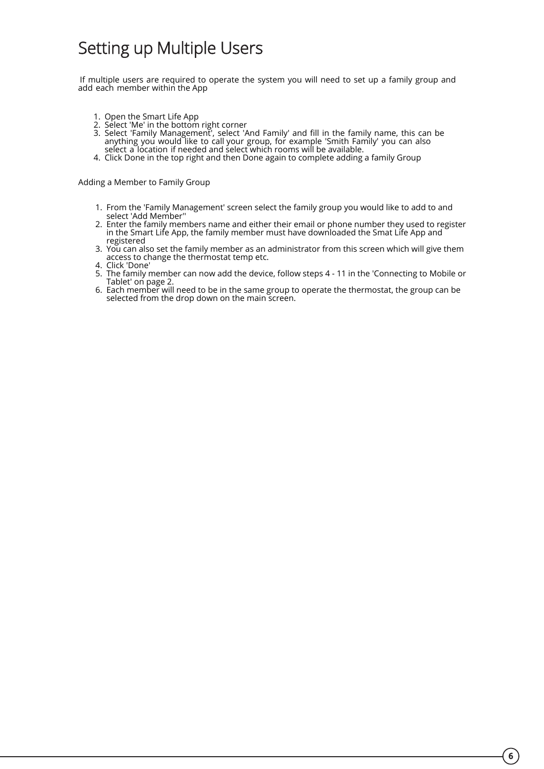#### Setting up Multiple Users

If multiple users are required to operate the system you will need to set up a family group and add each member within the App

- 1. Open the Smart Life App
- 2. Select 'Me' in the bottom right corner
- 3. Select 'Family Management', select 'And Family' and fill in the family name, this can be anything you would like to call your group, for example 'Smith Family' you can also select a location if needed and select which rooms will be available.
- 4. Click Done in the top right and then Done again to complete adding a family Group

Adding a Member to Family Group

- 1. From the 'Family Management' screen select the family group you would like to add to and select 'Add Member''
- 2. Enter the family members name and either their email or phone number they used to register in the Smart Life App, the family member must have downloaded the Smat Life App and registered
- 3. You can also set the family member as an administrator from this screen which will give them access to change the thermostat temp etc.
- 4. Click 'Done'
- 5. The family member can now add the device, follow steps 4 11 in the 'Connecting to Mobile or Tablet' on page 2.
- 6. Each member will need to be in the same group to operate the thermostat, the group can be selected from the drop down on the main screen.